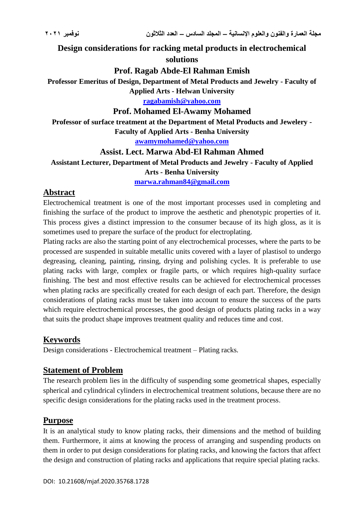**Design considerations for racking metal products in electrochemical solutions**

### **Prof. Ragab Abde-El Rahman Emish**

**Professor Emeritus of Design, Department of Metal Products and Jewelry - Faculty of Applied Arts - Helwan University**

**[ragabamish@yahoo.com](mailto:ragabamish@yahoo.com)**

#### **Prof. Mohamed El-Awamy Mohamed**

**Professor of surface treatment at the Department of Metal Products and Jewelery - Faculty of Applied Arts - Benha University**

**[awamymohamed@yahoo.com](mailto:awamymohamed@yahoo.com)**

#### **Assist. Lect. Marwa Abd-El Rahman Ahmed**

**Assistant Lecturer, Department of Metal Products and Jewelry - Faculty of Applied Arts - Benha University**

**[marwa.rahman84@gmail.com](mailto:marwa.rahman84@gmail.com)**

#### **Abstract**

Electrochemical treatment is one of the most important processes used in completing and finishing the surface of the product to improve the aesthetic and phenotypic properties of it. This process gives a distinct impression to the consumer because of its high gloss, as it is sometimes used to prepare the surface of the product for electroplating.

Plating racks are also the starting point of any electrochemical processes, where the parts to be processed are suspended in suitable metallic units covered with a layer of plastisol to undergo degreasing, cleaning, painting, rinsing, drying and polishing cycles. It is preferable to use plating racks with large, complex or fragile parts, or which requires high-quality surface finishing. The best and most effective results can be achieved for electrochemical processes when plating racks are specifically created for each design of each part. Therefore, the design considerations of plating racks must be taken into account to ensure the success of the parts which require electrochemical processes, the good design of products plating racks in a way that suits the product shape improves treatment quality and reduces time and cost.

## **Keywords**

Design considerations - Electrochemical treatment – Plating racks*.*

## **Statement of Problem**

The research problem lies in the difficulty of suspending some geometrical shapes, especially spherical and cylindrical cylinders in electrochemical treatment solutions, because there are no specific design considerations for the plating racks used in the treatment process.

## **Purpose**

It is an analytical study to know plating racks, their dimensions and the method of building them. Furthermore, it aims at knowing the process of arranging and suspending products on them in order to put design considerations for plating racks, and knowing the factors that affect the design and construction of plating racks and applications that require special plating racks.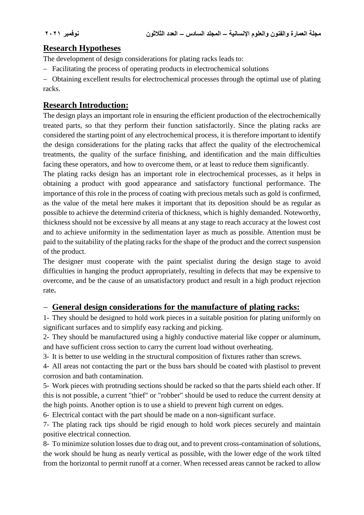# **Research Hypotheses**

The development of design considerations for plating racks leads to:

- Facilitating the process of operating products in electrochemical solutions

 Obtaining excellent results for electrochemical processes through the optimal use of plating racks.

# **Research Introduction:**

The design plays an important role in ensuring the efficient production of the electrochemically treated parts, so that they perform their function satisfactorily. Since the plating racks are considered the starting point of any electrochemical process, it is therefore important to identify the design considerations for the plating racks that affect the quality of the electrochemical treatments, the quality of the surface finishing, and identification and the main difficulties facing these operators, and how to overcome them, or at least to reduce them significantly.

The plating racks design has an important role in electrochemical processes, as it helps in obtaining a product with good appearance and satisfactory functional performance. The importance of this role in the process of coating with precious metals such as gold is confirmed, as the value of the metal here makes it important that its deposition should be as regular as possible to achieve the determind criteria of thickness, which is highly demanded. Noteworthy, thickness should not be excessive by all means at any stage to reach accuracy at the lowest cost and to achieve uniformity in the sedimentation layer as much as possible. Attention must be paid to the suitability of the plating racks for the shape of the product and the correct suspension of the product.

The designer must cooperate with the paint specialist during the design stage to avoid difficulties in hanging the product appropriately, resulting in defects that may be expensive to overcome, and be the cause of an unsatisfactory product and result in a high product rejection rate**.**

## **General design considerations for the manufacture of plating racks:**

1- They should be designed to hold work pieces in a suitable position for plating uniformly on significant surfaces and to simplify easy racking and picking.

2- They should be manufactured using a highly conductive material like copper or aluminum, and have sufficient cross section to carry the current load without overheating.

3- It is better to use welding in the structural composition of fixtures rather than screws.

4- All areas not contacting the part or the buss bars should be coated with plastisol to prevent corrosion and bath contamination.

5- Work pieces with protruding sections should be racked so that the parts shield each other. If this is not possible, a current "thief" or "robber" should be used to reduce the current density at the high points. Another option is to use a shield to prevent high current on edges.

6- Electrical contact with the part should be made on a non-significant surface.

7- The plating rack tips should be rigid enough to hold work pieces securely and maintain positive electrical connection.

8- To minimize solution losses due to drag out, and to prevent cross-contamination of solutions, the work should be hung as nearly vertical as possible, with the lower edge of the work tilted from the horizontal to permit runoff at a corner. When recessed areas cannot be racked to allow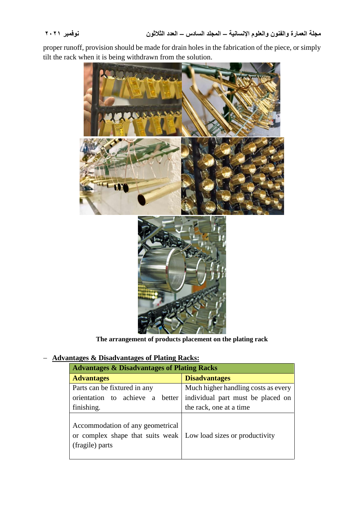proper runoff, provision should be made for drain holes in the fabrication of the piece, or simply tilt the rack when it is being withdrawn from the solution.



**The arrangement of products placement on the plating rack**

#### **Advantages & Disadvantages of Plating Racks:**

| <b>Advantages &amp; Disadvantages of Plating Racks</b>                                                                   |                                     |
|--------------------------------------------------------------------------------------------------------------------------|-------------------------------------|
| <b>Advantages</b>                                                                                                        | <b>Disadvantages</b>                |
| Parts can be fixtured in any                                                                                             | Much higher handling costs as every |
| orientation to achieve a better                                                                                          | individual part must be placed on   |
| finishing.                                                                                                               | the rack, one at a time             |
| Accommodation of any geometrical<br>or complex shape that suits weak   Low load sizes or productivity<br>(fragile) parts |                                     |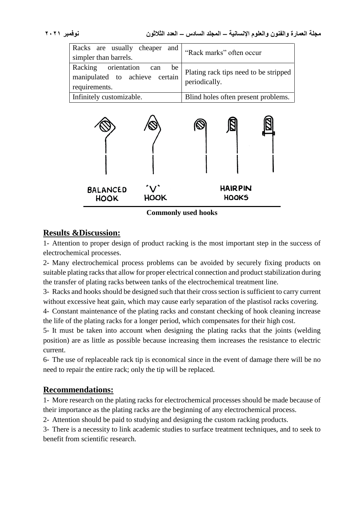| Racks are usually cheaper and  <br>simpler than barrels.                      | "Rack marks" often occur                               |
|-------------------------------------------------------------------------------|--------------------------------------------------------|
| Racking orientation can be<br>manipulated to achieve certain<br>requirements. | Plating rack tips need to be stripped<br>periodically. |
| Infinitely customizable.                                                      | Blind holes often present problems.                    |



**Commonly used hooks**

# **Results &Discussion:**

1- Attention to proper design of product racking is the most important step in the success of electrochemical processes.

2- Many electrochemical process problems can be avoided by securely fixing products on suitable plating racks that allow for proper electrical connection and product stabilization during the transfer of plating racks between tanks of the electrochemical treatment line.

3- Racks and hooks should be designed such that their cross section is sufficient to carry current without excessive heat gain, which may cause early separation of the plastisol racks covering.

4- Constant maintenance of the plating racks and constant checking of hook cleaning increase the life of the plating racks for a longer period, which compensates for their high cost.

5- It must be taken into account when designing the plating racks that the joints (welding position) are as little as possible because increasing them increases the resistance to electric current.

6- The use of replaceable rack tip is economical since in the event of damage there will be no need to repair the entire rack; only the tip will be replaced.

# **Recommendations:**

1- More research on the plating racks for electrochemical processes should be made because of their importance as the plating racks are the beginning of any electrochemical process.

2- Attention should be paid to studying and designing the custom racking products.

3- There is a necessity to link academic studies to surface treatment techniques, and to seek to benefit from scientific research.